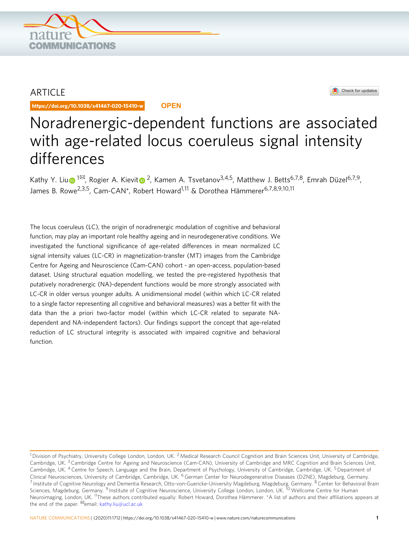

## ARTICLE

https://doi.org/10.1038/s41467-020-15410-w **OPEN**



# Noradrenergic-dependent functions are associated with age-related locus coeruleus signal intensity differences

Kathy Y. Li[u](http://orcid.org/0000-0002-7482-2758)  $\bullet$  $\bullet$ <sup>1⊠</sup>, Rogier A. Kievit  $\bullet$  <sup>2</sup>, Kamen A. Tsvetanov<sup>3,4,5</sup>, Matthew J. Betts<sup>6,7,8</sup>, Emrah Düzel<sup>6,7,9</sup>, James B. Rowe<sup>2,3,5</sup>, Cam-CAN\*, Robert Howard<sup>1,11</sup> & Dorothea Hämmerer<sup>6,7,8,9,10,11</sup>

The locus coeruleus (LC), the origin of noradrenergic modulation of cognitive and behavioral function, may play an important role healthy ageing and in neurodegenerative conditions. We investigated the functional significance of age-related differences in mean normalized LC signal intensity values (LC-CR) in magnetization-transfer (MT) images from the Cambridge Centre for Ageing and Neuroscience (Cam-CAN) cohort - an open-access, population-based dataset. Using structural equation modelling, we tested the pre-registered hypothesis that putatively noradrenergic (NA)-dependent functions would be more strongly associated with LC-CR in older versus younger adults. A unidimensional model (within which LC-CR related to a single factor representing all cognitive and behavioral measures) was a better fit with the data than the a priori two-factor model (within which LC-CR related to separate NAdependent and NA-independent factors). Our findings support the concept that age-related reduction of LC structural integrity is associated with impaired cognitive and behavioral function.

<sup>&</sup>lt;sup>1</sup> Division of Psychiatry, University College London, London, UK.<sup>2</sup> Medical Research Council Cognition and Brain Sciences Unit, University of Cambridge, Cambridge, UK.<sup>3</sup> Cambridge Centre for Ageing and Neuroscience (Cam-CAN), University of Cambridge and MRC Cognition and Brain Sciences Unit, Cambridge, UK. <sup>4</sup> Centre for Speech, Language and the Brain, Department of Psychology, University of Cambridge, Cambridge, UK. <sup>5</sup> Department of Clinical Neurosciences, University of Cambridge, Cambridge, UK. <sup>6</sup> German Center for Neurodegenerative Diseases (DZNE), Magdeburg, Germany. <sup>7</sup> Institute of Cognitive Neurology and Dementia Research, Otto-von-Guericke-University Magdeburg, Magdeburg, Germany. <sup>8</sup> Center for Behavioral Brain Sciences, Magdeburg, Germany. <sup>9</sup> Institute of Cognitive Neuroscience, University College London, London, UK. <sup>10</sup> Wellcome Centre for Human Neuroimaging, London, UK. 11These authors contributed equally: Robert Howard, Dorothea Hämmerer. \*A list of authors and their affiliations appears at the end of the paper. <sup>⊠</sup>email: [kathy.liu@ucl.ac.uk](mailto:kathy.liu@ucl.ac.uk)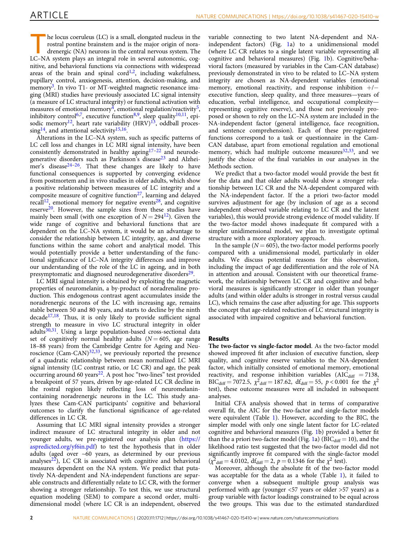he locus coeruleus (LC) is a small, elongated nucleus in the rostral pontine brainstem and is the major origin of noradrenergic (NA) neurons in the central nervous system. The LC–NA system plays an integral role in several autonomic, cognitive, and behavioral functions via connections with widespread areas of the brain and spinal cord<sup>[1](#page-7-0),2</sup>, including wakefulness, pupillary control, anxiogenesis, attention, decision-making, and memory<sup>3</sup>. In vivo T1- or MT-weighted magnetic resonance imaging (MRI) studies have previously associated LC signal intensity (a measure of LC structural integrity) or functional activation with measures of emotional memory<sup>4</sup>, emotional regulation/reactivity<sup>5</sup>, inhibitory control<sup>6,7</sup>, executive function<sup>8,9</sup>, sleep quality<sup>10,11</sup>, episodic memory<sup>12</sup>, heart rate variability  $(HRV)^{13}$ , oddball proces-sing<sup>14</sup>, and attentional selectivity<sup>15,[16](#page-7-0)</sup>.

Alterations in the LC–NA system, such as specific patterns of LC cell loss and changes in LC MRI signal intensity, have been consistently demonstrated in healthy ageing $17-22$  $17-22$  $17-22$  and neurode-generative disorders such as Parkinson's disease<sup>[23](#page-7-0)</sup> and Alzhei-mer's disease<sup>[24](#page-7-0)–[26](#page-7-0)</sup>. That these changes are likely to have functional consequences is supported by converging evidence from postmortem and in vivo studies in older adults, which show a positive relationship between measures of LC integrity and a composite measure of cognitive function $27$ , learning and delayed recall<sup>[12](#page-7-0)</sup>, emotional memory for negative events<sup>[28](#page-7-0)</sup>, and cognitive reserve<sup>20</sup>. However, the sample sizes from these studies have mainly been small (with one exception of  $N = 294^{12}$ ). Given the wide range of cognitive and behavioral functions that are dependent on the LC–NA system, it would be an advantage to consider the relationship between LC integrity, age, and diverse functions within the same cohort and analytical model. This would potentially provide a better understanding of the functional significance of LC–NA integrity differences and improve our understanding of the role of the LC in ageing, and in both presymptomatic and diagnosed neurodegenerative disorders<sup>[29](#page-7-0)</sup>.

LC MRI signal intensity is obtained by exploiting the magnetic properties of neuromelanin, a by-product of noradrenaline production. This endogenous contrast agent accumulates inside the noradrenergic neurons of the LC with increasing age, remains stable between 50 and 80 years, and starts to decline by the ninth decade<sup>17,18</sup>. Thus, it is only likely to provide sufficient signal strength to measure in vivo LC structural integrity in older  $adults<sup>30,31</sup>$  $adults<sup>30,31</sup>$  $adults<sup>30,31</sup>$ . Using a large population-based cross-sectional data set of cognitively normal healthy adults ( $N = 605$ , age range 18–88 years) from the Cambridge Centre for Ageing and Neuroscience  $(Cam-CAN)^{32,33}$ , we previously reported the presence of a quadratic relationship between mean normalized LC MRI signal intensity (LC contrast ratio, or LC CR) and age, the peak occurring around 60 years<sup>[22](#page-7-0)</sup>. A post hoc "two-lines" test provided a breakpoint of 57 years, driven by age-related LC CR decline in the rostral region likely reflecting loss of neuromelanincontaining noradrenergic neurons in the LC. This study analyzes these Cam-CAN participants' cognitive and behavioral outcomes to clarify the functional significance of age-related differences in LC CR.

Assuming that LC MRI signal intensity provides a stronger indirect measure of LC structural integrity in older and not younger adults, we pre-registered our analysis plan [\(https://](https://aspredicted.org/yf6in.pdf) [aspredicted.org/yf6in.pdf](https://aspredicted.org/yf6in.pdf)) to test the hypothesis that in older adults (aged over ~60 years, as determined by our previous analyses $^{22}$ ), LC CR is associated with cognitive and behavioral measures dependent on the NA system. We predict that putatively NA-dependent and NA-independent functions are separable constructs and differentially relate to LC CR, with the former showing a stronger relationship. To test this, we use structural equation modeling (SEM) to compare a second order, multidimensional model (where LC CR is an independent, observed

variable connecting to two latent NA-dependent and NAindependent factors) (Fig. [1](#page-2-0)a) to a unidimensional model (where LC CR relates to a single latent variable representing all cognitive and behavioral measures) (Fig. [1b](#page-2-0)). Cognitive/behavioral factors (measured by variables in the Cam-CAN database) previously demonstrated in vivo to be related to LC–NA system integrity are chosen as NA-dependent variables (emotional memory, emotional reactivity, and response inhibition  $+/$ executive function, sleep quality, and three measures—years of education, verbal intelligence, and occupational complexity representing cognitive reserve), and those not previously proposed or shown to rely on the LC–NA system are included in the NA-independent factor (general intelligence, face recognition, and sentence comprehension). Each of these pre-registered functions correspond to a task or questionnaire in the Cam-CAN database, apart from emotional regulation and emotional memory, which had multiple outcome measures $32,33$  $32,33$  $32,33$ , and we justify the choice of the final variables in our analyses in the Methods section.

We predict that a two-factor model would provide the best fit for the data and that older adults would show a stronger relationship between LC CR and the NA-dependent compared with the NA-independent factor. If the a priori two-factor model survives adjustment for age (by inclusion of age as a second independent observed variable relating to LC CR and the latent variables), this would provide strong evidence of model validity. If the two-factor model shows inadequate fit compared with a simpler unidimensional model, we plan to investigate optimal structure with a more exploratory approach.

In the sample ( $N = 605$ ), the two-factor model performs poorly compared with a unidimensional model, particularly in older adults. We discuss potential reasons for this observation, including the impact of age dedifferentiation and the role of NA in attention and arousal. Consistent with our theoretical framework, the relationship between LC CR and cognitive and behavioral measures is significantly stronger in older than younger adults (and within older adults is stronger in rostral versus caudal LC), which remains the case after adjusting for age. This supports the concept that age-related reduction of LC structural integrity is associated with impaired cognitive and behavioral function.

#### Results

The two-factor vs single-factor model. As the two-factor model showed improved fit after inclusion of executive function, sleep quality, and cognitive reserve variables to the NA-dependent factor, which initially consisted of emotional memory, emotional reactivity, and response inhibition variables ( $AIC<sub>diff</sub> = 7138$ ,  $BIC_{diff} = 7072.5$ ,  $\chi^2$ <sub>diff</sub> = 187.62, df<sub>diff</sub> = 55,  $p < 0.001$  for the  $\chi^2$ test), these outcome measures were all included in subsequent analyses.

Initial CFA analysis showed that in terms of comparative overall fit, the AIC for the two-factor and single-factor models were equivalent (Table [1](#page-2-0)). However, according to the BIC, the simpler model with only one single latent factor for LC-related cognitive and behavioral measures (Fig. [1b](#page-2-0)) provided a better fit than the a priori two-factor model (Fig. [1](#page-2-0)a) ( $BIC<sub>diff</sub> = 10$ ), and the likelihood ratio test suggested that the two-factor model did not significantly improve fit compared with the single-factor model  $(\chi^2_{\text{diff}} = 4.0102, \frac{\text{df}}{\text{diff}} = 2, p = 0.1346 \text{ for the } \chi^2 \text{ test}).$ 

Moreover, although the absolute fit of the two-factor model was acceptable for the data as a whole (Table [1](#page-2-0)), it failed to converge when a subsequent multiple group analysis was performed with age (younger <57 years or older >57 years) as a group variable with factor loadings constrained to be equal across the two groups. This was due to the estimated standardized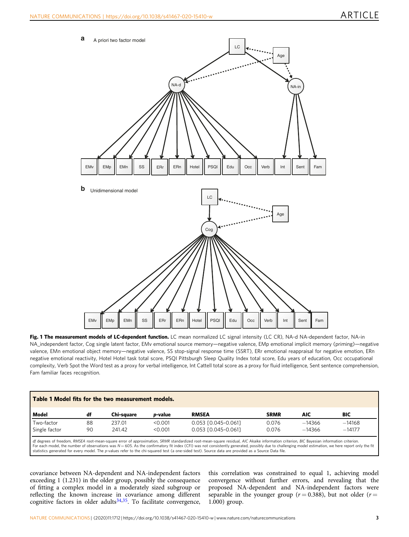<span id="page-2-0"></span>

Fig. 1 The measurement models of LC-dependent function. LC mean normalized LC signal intensity (LC CR), NA-d NA-dependent factor, NA-in NA\_independent factor, Cog single latent factor, EMv emotional source memory—negative valence, EMp emotional implicit memory (priming)—negative valence, EMn emotional object memory—negative valence, SS stop-signal response time (SSRT), ERr emotional reappraisal for negative emotion, ERn negative emotional reactivity, Hotel Hotel task total score, PSQI Pittsburgh Sleep Quality Index total score, Edu years of education, Occ occupational complexity, Verb Spot the Word test as a proxy for verbal intelligence, Int Cattell total score as a proxy for fluid intelligence, Sent sentence comprehension, Fam familiar faces recognition.

| Table 1 Model fits for the two measurement models.                                                                                                                                    |    |            |                 |                     |             |          |          |
|---------------------------------------------------------------------------------------------------------------------------------------------------------------------------------------|----|------------|-----------------|---------------------|-------------|----------|----------|
| Model                                                                                                                                                                                 | df | Chi-sauare | <i>p</i> -value | <b>RMSEA</b>        | <b>SRMR</b> | AIC      | BIC      |
| Two-factor                                                                                                                                                                            | 88 | 237.01     | < 0.001         | 0.053 [0.045-0.061] | 0.076       | $-14366$ | $-14168$ |
| Single factor                                                                                                                                                                         | 90 | 241.42     | < 0.001         | 0.053 [0.045-0.061] | 0.076       | $-14366$ | $-14177$ |
| I df degrees of freedom RMSEA root-mean-square error of approximation SRMR standardized root-mean-square residual AIC Akaike information criterion BIC Bayesian information criterion |    |            |                 |                     |             |          |          |

df degrees of freedom, RMSEA root-mean-square error of approximation, SRMR standardized root-mean-square residual, AIC Akaike information criterion, BIC Bayesian information criterion.<br>For each model, the number of observa statistics generated for every model. The p-values refer to the chi-squared test (a one-sided test). Source data are provided as a Source Data file.

covariance between NA-dependent and NA-independent factors exceeding 1 (1.231) in the older group, possibly the consequence of fitting a complex model in a moderately sized subgroup or reflecting the known increase in covariance among different cognitive factors in older adults $34,35$ . To facilitate convergence,

this correlation was constrained to equal 1, achieving model convergence without further errors, and revealing that the proposed NA-dependent and NA-independent factors were separable in the younger group ( $r = 0.388$ ), but not older ( $r =$ 1.000) group.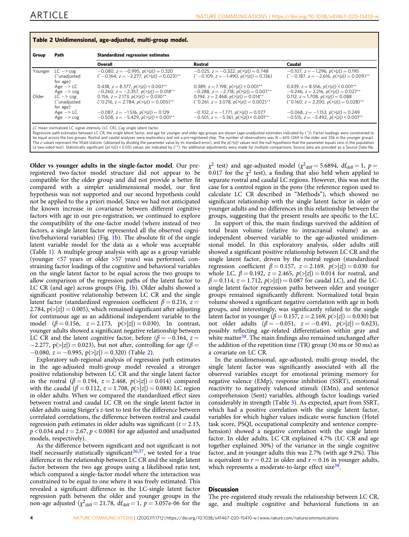| Group   | Path                                                                                  | <b>Standardized regression estimates</b>                                                                                                                                                            |                                                                                                                                                                                                                                    |                                                                                                                                                                                              |  |  |
|---------|---------------------------------------------------------------------------------------|-----------------------------------------------------------------------------------------------------------------------------------------------------------------------------------------------------|------------------------------------------------------------------------------------------------------------------------------------------------------------------------------------------------------------------------------------|----------------------------------------------------------------------------------------------------------------------------------------------------------------------------------------------|--|--|
|         |                                                                                       | Overall                                                                                                                                                                                             | Rostral                                                                                                                                                                                                                            | Caudal                                                                                                                                                                                       |  |  |
| Younger | $LC \rightarrow COg$<br>Cunadjusted<br>for age)                                       | $-0.080$ , $z = -0.995$ , $p(>\vert z \vert) = 0.320$<br>$(^{\circ}-0.164$ , $z = -2.277$ , $p(>\vert z \vert) = 0.023$ <sup>**</sup>                                                               | $-0.025$ , $z = -0.322$ , $p(>\vert z \vert) = 0.748$<br>$(^{-}0.109$ , $z = -1.490$ , $p(>\vert z \vert) = 0.136$                                                                                                                 | $-0.107$ , $z = -1.296$ , $p(>\vert z \vert) = 0.195$<br>$(^{\circ}-0.187, z = -2.616, p(\ge  z ) = 0.009$ <sup>**</sup>                                                                     |  |  |
| Older   | Age $\rightarrow$ LC<br>$Age \rightarrow cog$<br>$LC \rightarrow \cos$<br>Cunadjusted | 0.438, $z = 8.377$ , $p(> z ) < 0.001**$<br>$-0.260$ , $z = -2.357$ , $p(>z) = 0.018**$<br>0.156, $z = 2.173$ , $p(>\vert z \vert) = 0.030**$<br>$(20.216, z = 2.784, p(>z]) = 0.005$ <sup>**</sup> | 0.389, $z = 7.198$ , $p(>\vert z \vert) < 0.001**$<br>$-0.288$ , $z = -2.718$ , $p(>\vert z \vert) = 0.007**$<br>0.194, $z = 2.468$ , $p(>\vert z \vert) = 0.014**$<br>$($ 0.261, $z = 3.078$ , $p(>  z ) = 0.002$ ) <sup>**</sup> | 0.439, $z = 8.556$ , $p(> z ) < 0.001**$<br>$-0.246$ , $z = 2.216$ , $p(> z ) = 0.027**$<br>0.112, $z = 1.708$ , $p(> z ) = 0.088$<br>$($ 0.160, z = 2.200, $p(> z )$ = 0.028) <sup>**</sup> |  |  |
|         | for age)<br>Age $\rightarrow$ LC<br>$Age \rightarrow cog$                             | $-0.087$ , $z = -1.516$ , $p(>\vert z \vert) = 0.129$<br>$-0.508$ , $z = -5.429$ , $p(>\vert z \vert) < 0.001**$                                                                                    | $-0.102$ , $z = -1.771$ , $p(>\vert z \vert) = 0.077$<br>$-0.501$ , $z = -5.361$ , $p(\ge  z ) \le 0.001**$                                                                                                                        | $-0.068$ , $z = -1.153$ , $p(>\vert z \vert) = 0.249$<br>$-0.515$ , $z = -5.492$ , $p(> z ) < 0.001**$                                                                                       |  |  |

Regression path estimates between LC CR, the single latent factor, and age for younger and older age groups are shown (age-unadjusted estimates indicated by (^)). Factor loadings were constrained to<br>be equal across the two The z-values represent the Wald statistic (obtained by dividing the parameter value by its standard error), and the p(>|z|) values test the null hypothesis that the parameter equals zero in the population<br>(a two-sided te

Older vs younger adults in the single-factor model. Our preregistered two-factor model structure did not appear to be compatible for the older group and did not provide a better fit compared with a simpler unidimensional model, our first hypothesis was not supported and our second hypothesis could not be applied to the a priori model. Since we had not anticipated the known increase in covariance between different cognitive factors with age in our pre-registration, we continued to explore the compatibility of the one-factor model (where instead of two factors, a single latent factor represented all the observed cognitive/behavioral variables) (Fig. [1](#page-2-0)b). The absolute fit of the single latent variable model for the data as a whole was acceptable (Table [1](#page-2-0)). A multiple group analysis with age as a group variable (younger <57 years or older >57 years) was performed, constraining factor loadings of the cognitive and behavioral variables on the single latent factor to be equal across the two groups to allow comparison of the regression paths of the latent factor to LC CR (and age) across groups (Fig. [1](#page-2-0)b). Older adults showed a significant positive relationship between LC CR and the single latent factor (standardized regression coefficient  $\beta = 0.216$ ,  $z =$ 2.784,  $p(\ge |z|) = 0.005$ , which remained significant after adjusting for continuous age as an additional independent variable to the model ( $\beta = 0.156$ ,  $z = 2.173$ ,  $p(>|z|) = 0.030$ ). In contrast, younger adults showed a significant negative relationship between LC CR and the latent cognitive factor, before ( $\beta = -0.164$ ,  $z =$  $-2.277$ , p(>|z|) = 0.023), but not after, controlling for age ( $\beta$  =  $-0.080$ ,  $z = -0.995$ ,  $p(>|z|) = 0.320$  (Table 2).

Exploratory sub-regional analysis of regression path estimates in the age-adjusted multi-group model revealed a stronger positive relationship between LC CR and the single latent factor in the rostral ( $\beta = 0.194$ ,  $z = 2.468$ ,  $p(>|z|) = 0.014$ ) compared with the caudal ( $\beta = 0.112$ ,  $z = 1.708$ ,  $p(z|z) = 0.088$ ) LC region in older adults. When we compared the standardized effect sizes between rostral and caudal LC CR on the single latent factor in older adults using Steiger's z-test to test for the difference between correlated correlations, the difference between rostral and caudal regression path estimates in older adults was significant ( $t = 2.13$ ,  $p < 0.034$  and  $t = 2.67$ ,  $p < 0.0081$  for age adjusted and unadjusted models, respectively).

As the difference between significant and not significant is not itself necessarily statistically significant  $36,37$ , we tested for a true difference in the relationship between LC CR and the single latent factor between the two age groups using a likelihood ratio test, which compared a single-factor model where the interaction was constrained to be equal to one where it was freely estimated. This revealed a significant difference in the LC-single latent factor regression path between the older and younger groups in the non-age adjusted ( $\chi^2$ <sub>diff</sub> = 21.78, df<sub>diff</sub> = 1,  $p$  = 3.057e-06 for the

 $\chi^2$  test) and age-adjusted model ( $\chi^2$ <sub>diff</sub> = 5.6894, df<sub>diff</sub> = 1, p = 0.017 for the  $\chi^2$  test), a finding that also held when applied to separate rostral and caudal LC regions. However, this was not the case for a control region in the pons (the reference region used to calculate LC CR described in "Methods"), which showed no significant relationship with the single latent factor in older or younger adults and no differences in this relationship between the groups, suggesting that the present results are specific to the LC.

In support of this, the main findings survived the addition of total brain volume (relative to intracranial volume) as an independent observed variable to the age-adjusted unidimensional model. In this exploratory analysis, older adults still showed a significant positive relationship between LC CR and the single latent factor, driven by the rostral region (standardized regression coefficient  $\beta = 0.157$ ,  $z = 2.169$ ,  $p(>|z|) = 0.030$  for whole LC,  $\beta = 0.192$ ,  $z = 2.465$ ,  $p(>|z|) = 0.014$  for rostral, and  $\beta = 0.114$ ,  $z = 1.712$ ,  $p(z|z) = 0.087$  for caudal LC), and the LCsingle latent factor regression paths between older and younger groups remained significantly different. Normalized total brain volume showed a significant negative correlation with age in both groups, and interestingly, was significantly related to the single latent factor in younger (β = 0.157, z = 2.169,  $p(>|z|)$  = 0.030) but not older adults  $(\beta = -0.051, z = -0.491, p(>|z|) = 0.623)$ , possibly reflecting age-related differentiation within gray and white matter  $38$ . The main findings also remained unchanged after the addition of the repetition time (TR) group (30 ms or 50 ms) as a covariate on LC CR.

In the unidimensional, age-adjusted, multi-group model, the single latent factor was significantly associated with all the observed variables except for emotional priming memory for negative valence (EMp), response inhibition (SSRT), emotional reactivity to negatively valenced stimuli (EMn), and sentence comprehension (Sent) variables, although factor loadings varied considerably in strength (Table [3](#page-4-0)). As expected, apart from SSRT, which had a positive correlation with the single latent factor, variables for which higher values indicate worse function (Hotel task score, PSQI, occupational complexity and sentence comprehension) showed a negative correlation with the single latent factor. In older adults, LC CR explained 4.7% (LC CR and age together explained 30%) of the variance in the single cognitive factor, and in younger adults this was 2.7% (with age 9.2%). This is equivalent to  $r = 0.22$  in older and  $r = 0.16$  in younger adults, which represents a moderate-to-large effect size $39$ .

#### **Discussion**

The pre-registered study reveals the relationship between LC CR, age, and multiple cognitive and behavioral functions in an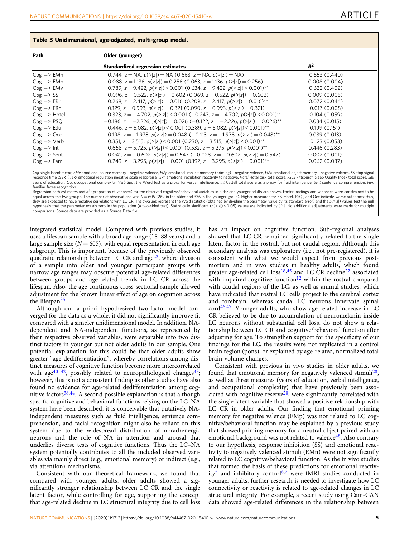| <b>THEIR &amp; AUTHOLICITION</b> IN A CARD MAINS CALL TIME AT AND THOMATIC |                                                                                                                           |              |  |  |  |
|----------------------------------------------------------------------------|---------------------------------------------------------------------------------------------------------------------------|--------------|--|--|--|
| Path                                                                       | Older (younger)                                                                                                           |              |  |  |  |
|                                                                            | <b>Standardized regression estimates</b>                                                                                  | $R^2$        |  |  |  |
| $Cog \rightarrow EMn$                                                      | $0.744$ , $z = NA$ , $p(>= z ) = NA$ (0.663, $z = NA$ , $p(>= z ) = NA$ )                                                 | 0.553(0.440) |  |  |  |
| $Cog \rightarrow EMp$                                                      | 0.088, $z = 1.136$ , $p(>\vert z \vert) = 0.256$ (0.063, $z = 1.136$ , $p(>\vert z \vert) = 0.256$ )                      | 0.008(0.004) |  |  |  |
| $Cog \rightarrow EMv$                                                      | 0.789, $z = 9.422$ , $p(\ge  z )$ < 0.001 (0.634, $z = 9.422$ , $p(\ge  z )$ < 0.001) <sup>**</sup>                       | 0.622(0.402) |  |  |  |
| $Cog \rightarrow SS$                                                       | 0.096, $z = 0.522$ , $p(\ge  z ) = 0.602$ (0.069, $z = 0.522$ , $p(\ge  z ) = 0.602$ )                                    | 0.009(0.005) |  |  |  |
| $Cog \rightarrow ERr$                                                      | 0.268, $z = 2.417$ , $p(>\vert z \vert) = 0.016$ (0.209, $z = 2.417$ , $p(>\vert z \vert) = 0.016$ ) <sup>**</sup>        | 0.072(0.044) |  |  |  |
| $Cog \rightarrow ERn$                                                      | 0.129, $z = 0.993$ , $p(\ge  z ) = 0.321$ (0.090, $z = 0.993$ , $p(\ge  z ) = 0.321$ )                                    | 0.017(0.008) |  |  |  |
| $Cog \rightarrow Hotel$                                                    | $-0.323$ , $z = -4.702$ , $p(z z )$ < 0.001 (-0.243, $z = -4.702$ , $p(z z )$ < 0.001) <sup>**</sup>                      | 0.104(0.059) |  |  |  |
| $Cog \rightarrow PSO1$                                                     | $-0.186$ , $z = -2.226$ , $p(> z ) = 0.026$ (-0.122, $z = -2.226$ , $p( z ) = 0.026$ ) <sup>**</sup>                      | 0.034(0.015) |  |  |  |
| $Cog \rightarrow Edu$                                                      | 0.446, $z = 5.082$ , $p(>\vert z \vert)$ < 0.001 (0.389, $z = 5.082$ , $p(>\vert z \vert)$ < 0.001) <sup>**</sup>         | 0.199(0.151) |  |  |  |
| $Cog \rightarrow Occ$                                                      | $-0.198$ , $z = -1.978$ , $p(>\vert z \vert) = 0.048$ (-0.113, $z = -1.978$ , $p(>\vert z \vert) = 0.048$ ) <sup>**</sup> | 0.039(0.013) |  |  |  |
| $Cog \rightarrow Verb$                                                     | 0.351, $z = 3.515$ , $p(\ge  z ) \le 0.001$ (0.230, $z = 3.515$ , $p(\ge  z ) \le 0.001$ )**                              | 0.123(0.053) |  |  |  |
| $Cog \rightarrow Int$                                                      | 0.668, $z = 5.725$ , $p(> z )$ < 0.001 (0.532, $z = 5.275$ , $p(> z )$ < 0.001) <sup>**</sup>                             | 0.446(0.283) |  |  |  |
| $Cog \rightarrow$ Sent                                                     | $-0.041$ , $z = -0.602$ , $p(z z) = 0.547$ (-0.028, $z = -0.602$ , $p(z z) = 0.547$ )                                     | 0.002(0.001) |  |  |  |
| $Cog \rightarrow Fam$                                                      | 0.249, $z = 3.295$ , $p(\ge  z ) = 0.001$ (0.192, $z = 3.295$ , $p(\ge  z ) = 0.001$ )**                                  | 0.062(0.037) |  |  |  |

<span id="page-4-0"></span>Table 3 Unidimensional, age-adjusted, multi-group model.

Cog single latent factor, EMv emotional source memory—negative valence, EMp emotional implicit memory (priming)—negative valence, EMn emotional object memory—negative valence, SS stop signal response time (SSRT), ERr emotional regulation negative scale reappraisal, ERn emotional regulation reactivity to negative, Hotel Hotel task total score, PSQI Pittsburgh Sleep Quality Index total score, Edu years of education, Occ occupational complexity, Verb Spot the Word test as a proxy for verbal intelligence, Int Cattell total score as a proxy for fluid intelligence, Sent sentence comprehension, Fam familiar faces recognition. Regression path estimates and R<sup>2</sup> (proportion of variance) for the observed cognitive/behavioral variables in older and younger adults are shown. Factor loadings and variances were constrained to be

equal across the two groups. The number of observations was  $N = 605$  (269 in the older and 336 in the younger group). Higher measures for SS, Hotel, PSQI, and Occ indicate worse outcomes; thus they are expected to have negative correlations with LC CR. The z-values represent the Wald statistic (obtained by dividing the parameter value by its standard error) and the p(>|z|) values test the null hypothesis that the parameter equals zero in the population (a two-sided test). Statistically significant (p(>|z|) < 0.05) values are indicated by (\*\*). No additional adjustments were made for multiple comparisons. Source data are provided as a Source Data file.

integrated statistical model. Compared with previous studies, it uses a lifespan sample with a broad age range (18–88 years) and a large sample size ( $N = 605$ ), with equal representation in each age subgroup. This is important, because of the previously observed quadratic relationship between LC CR and  $age^{22}$ , where division of a sample into older and younger participant groups with narrow age ranges may obscure potential age-related differences between groups and age-related trends in LC CR across the lifespan. Also, the age-continuous cross-sectional sample allowed adjustment for the known linear effect of age on cognition across the lifespan $35$ .

Although our a priori hypothesized two-factor model converged for the data as a whole, it did not significantly improve fit compared with a simpler unidimensional model. In addition, NAdependent and NA-independent functions, as represented by their respective observed variables, were separable into two distinct factors in younger but not older adults in our sample. One potential explanation for this could be that older adults show greater "age dedifferentiation", whereby correlations among distinct measures of cognitive function become more intercorrelated with age<sup>[40](#page-7-0)–42</sup>, possibly related to neuropathological changes<sup>43</sup>; however, this is not a consistent finding as other studies have also found no evidence for age-related dedifferentiation among cog-nitive factors<sup>[38](#page-7-0),[44](#page-7-0)</sup>. A second possible explanation is that although specific cognitive and behavioral functions relying on the LC–NA system have been described, it is conceivable that putatively NAindependent measures such as fluid intelligence, sentence comprehension, and facial recognition might also be reliant on this system due to the widespread distribution of noradrenergic neurons and the role of NA in attention and arousal that underlies diverse tests of cognitive functions. Thus the LC–NA system potentially contributes to all the included observed variables via mainly direct (e.g., emotional memory) or indirect (e.g., via attention) mechanisms.

Consistent with our theoretical framework, we found that compared with younger adults, older adults showed a significantly stronger relationship between LC CR and the single latent factor, while controlling for age, supporting the concept that age-related decline in LC structural integrity due to cell loss

has an impact on cognitive function. Sub-regional analyses showed that LC CR remained significantly related to the single latent factor in the rostral, but not caudal region. Although this secondary analysis was exploratory (i.e., not pre-registered), it is consistent with what we would expect from previous postmortem and in vivo studies in healthy adults, which found greater age-related cell loss<sup>[18,45](#page-7-0)</sup> and LC CR decline<sup>[22](#page-7-0)</sup> associated with impaired cognitive function<sup>[12](#page-7-0)</sup> within the rostral compared with caudal regions of the LC, as well as animal studies, which have indicated that rostral LC cells project to the cerebral cortex and forebrain, whereas caudal LC neurons innervate spinal  $\text{cord}^{46,47}$  $\text{cord}^{46,47}$  $\text{cord}^{46,47}$  $\text{cord}^{46,47}$  $\text{cord}^{46,47}$ . Younger adults, who show age-related increase in LC CR believed to be due to accumulation of neuromelanin inside LC neurons without substantial cell loss, do not show a relationship between LC CR and cognitive/behavioral function after adjusting for age. To strengthen support for the specificity of our findings for the LC, the results were not replicated in a control brain region (pons), or explained by age-related, normalized total brain volume changes.

Consistent with previous in vivo studies in older adults, we found that emotional memory for negatively valenced stimuli<sup>28</sup>, as well as three measures (years of education, verbal intelligence, and occupational complexity) that have previously been associated with cognitive reserve<sup>20</sup>, were significantly correlated with the single latent variable that showed a positive relationship with LC CR in older adults. Our finding that emotional priming memory for negative valence (EMp) was not related to LC cognitive/behavioral function may be explained by a previous study that showed priming memory for a neutral object paired with an emotional background was not related to valence<sup>48</sup>. Also contrary to our hypothesis, response inhibition (SS) and emotional reactivity to negatively valenced stimuli (EMn) were not significantly related to LC cognitive/behavioral function. As the in vivo studies that formed the basis of these predictions for emotional reactiv-ity<sup>[5](#page-7-0)</sup> and inhibitory control<sup>6,[7](#page-7-0)</sup> were fMRI studies conducted in younger adults, further research is needed to investigate how LC connectivity or reactivity is related to age-related changes in LC structural integrity. For example, a recent study using Cam-CAN data showed age-related differences in the relationship between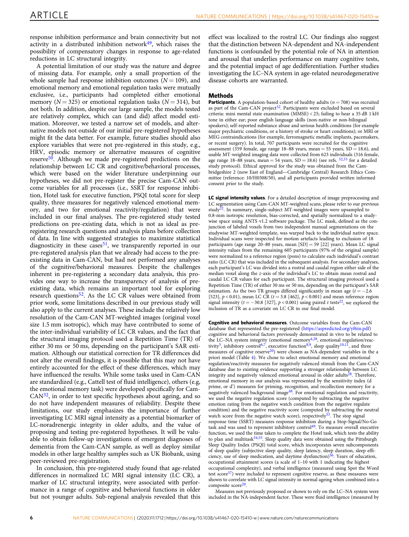response inhibition performance and brain connectivity but not activity in a distributed inhibition network $49$ , which raises the possibility of compensatory changes in response to age-related reductions in LC structural integrity.

A potential limitation of our study was the nature and degree of missing data. For example, only a small proportion of the whole sample had response inhibition outcomes  $(N = 109)$ , and emotional memory and emotional regulation tasks were mutually exclusive, i.e., participants had completed either emotional memory ( $N = 325$ ) or emotional regulation tasks ( $N = 314$ ), but not both. In addition, despite our large sample, the models tested are relatively complex, which can (and did) affect model estimation. Moreover, we tested a narrow set of models, and alternative models not outside of our initial pre-registered hypotheses might fit the data better. For example, future studies should also explore variables that were not pre-registered in this study, e.g., HRV, episodic memory or alternative measures of cognitive reserve<sup>50</sup>. Although we made pre-registered predictions on the relationship between LC CR and cognitive/behavioral processes, which were based on the wider literature underpinning our hypotheses, we did not pre-register the precise Cam-CAN outcome variables for all processes (i.e., SSRT for response inhibition, Hotel task for executive function, PSQI total score for sleep quality, three measures for negatively valenced emotional memory, and two for emotional reactivity/regulation) that were included in our final analyses. The pre-registered study tested predictions on pre-existing data, which is not as ideal as preregistering research questions and analysis plans before collection of data. In line with suggested strategies to maximize statistical diagnosticity in these cases $51$ , we transparently reported in our pre-registered analysis plan that we already had access to the preexisting data in Cam-CAN, but had not performed any analyses of the cognitive/behavioral measures. Despite the challenges inherent in pre-registering a secondary data analysis, this provides one way to increase the transparency of analysis of preexisting data, which remains an important tool for exploring research questions<sup>52</sup>. As the LC CR values were obtained from prior work, some limitations described in our previous study will also apply to the current analyses. These include the relatively low resolution of the Cam-CAN MT-weighted images (original voxel size 1.5 mm isotropic), which may have contributed to some of the inter-individual variability of LC CR values, and the fact that the structural imaging protocol used a Repetition Time (TR) of either 30 ms or 50 ms, depending on the participant's SAR estimation. Although our statistical correction for TR differences did not alter the overall findings, it is possible that this may not have entirely accounted for the effect of these differences, which may have influenced the results. While some tasks used in Cam-CAN are standardized (e.g., Cattell test of fluid intelligence), others (e.g, the emotional memory task) were developed specifically for Cam- $CAN<sup>32</sup>$ , in order to test specific hypotheses about ageing, and so do not have independent measures of reliability. Despite these limitations, our study emphasizes the importance of further investigating LC MRI signal intensity as a potential biomarker of LC-noradrenergic integrity in older adults, and the value of proposing and testing pre-registered hypotheses. It will be valuable to obtain follow-up investigations of emergent diagnoses of dementia from the Cam-CAN sample, as well as deploy similar models in other large healthy samples such as UK Biobank, using peer-reviewed pre-registration.

In conclusion, this pre-registered study found that age-related differences in normalized LC MRI signal intensity (LC CR), a marker of LC structural integrity, were associated with performance in a range of cognitive and behavioral functions in older but not younger adults. Sub-regional analysis revealed that this effect was localized to the rostral LC. Our findings also suggest that the distinction between NA-dependent and NA-independent functions is confounded by the potential role of NA in attention and arousal that underlies performance on many cognitive tests, and the potential impact of age dedifferentiation. Further studies investigating the LC–NA system in age-related neurodegenerative disease cohorts are warranted.

#### **Mathods**

**Participants.** A population-based cohort of healthy adults ( $n = 708$ ) was recruited as part of the Cam-CAN project<sup>[32](#page-7-0)</sup>. Participants were excluded based on several criteria: mini mental state examination (MMSE) < 25; failing to hear a 35 dB 1 kH tone in either ear; poor english language skills (non-native or non-bilingual speakers); self-reported substance abuse and serious health conditions (for example major psychiatric conditions, or a history of stroke or heart conditions); or MRI or MEG contraindications (for example, ferromagnetic metallic implants, pacemakers, or recent surgery). In total, 707 participants were recruited for the cognitive assessment (359 female, age range  $18-88$  years, mean = 55 years, SD = 18.6), and usable MT-weighted imaging data were collected from 623 individuals (316 female, age range 18–88 years, mean = 54 years, SD = 18.6) (see refs.  $32,33$  for a detailed study protocol). Ethical approval for the study was obtained from the Cambridgeshire 2 (now East of England—Cambridge Central) Research Ethics Committee (reference: 10/H0308/50), and all participants provided written informed consent prior to the study.

LC signal intensity values. For a detailed description of image preprocessing and LC segmentation using Cam-CAN MT-weighted scans, please refer to our previous study<sup>22</sup>. In summary, single-subject MT-weighted images were upsampled to 0.8-mm isotropic resolution, bias-corrected, and spatially normalized to a studywise space using ANTS v1.2 software package. The LC mask, defined as the conjunction of labeled voxels from two independent manual segmentations on the studywise MT-weighted template, was warped back to the individual native space. Individual scans were inspected for motion artefacts leading to exclusion of 18 participants (age range 20–80 years, mean [SD] = 59 [22] years). Mean LC signal intensity values from the remaining 605 participants (97% of the original sample) were normalized to a reference region (pons) to calculate each individual's contrast ratio (LC CR) that was included in the subsequent analysis. For secondary analyses, each participant's LC was divided into a rostral and caudal region either side of the median voxel along the z-axis of the individual's LC to obtain mean rostral and caudal LC CR values for each participant. The structural imaging protocol used a Repetition Time (TR) of either 30 ms or 50 ms, depending on the participant's SAR estimation. As the two TR groups differed significantly in mean age  $(t = -2.6$ [523],  $p < 0.01$ ), mean LC CR ( $t = 3.8$  [462],  $p < 0.001$ ) and mean reference region signal intensity ( $t = -30.8$  [327],  $p < 0.001$ ) using paired t tests<sup>22</sup>, we explored the inclusion of TR as a covariate on LC CR in our final model.

Cognitive and behavioral measures. Outcome variables from the Cam-CAN database that represented the pre-registered ([https://aspredicted.org/yf6in.pdf\)](https://aspredicted.org/yf6in.pdf) cognitive and behavioral factors previously demonstrated in vivo to be related to the LC–NA system integrity (emotional memory<sup>4,28</sup>, emotional regulation/reac-tivity<sup>5</sup>, inhibitory control<sup>6,7</sup>, executive function<sup>[8,9](#page-7-0)</sup>, sleep quality<sup>10,11</sup>, and three measures of cognitive reserve<sup>[20](#page-7-0)</sup>) were chosen as NA-dependent variables in the a priori model (Table [4\)](#page-6-0). We chose to select emotional memory and emotional regulation/reactivity measures for negatively valenced stimuli from the Cam-CAN database due to existing evidence supporting a stronger relationship between LC integrity and negatively valenced emotional arousal in older adults $^{28}$  $^{28}$  $^{28}$ . Therefore, emotional memory in our analysis was represented by the sensitivity index (d prime, or d') measures for priming, recognition, and recollection memory for a negatively valenced background image<sup>48</sup>. For emotional regulation and reactivity, we used the negative regulation score (computed by subtracting the negative emotion rating from the negative watch condition from the negative regulate condition) and the negative reactivity score (computed by subtracting the neutral watch score from the negative watch score), respectively $53$ . The stop signal response time (SSRT) measures response inhibition during a Stop-Signal/No-Go task and was used to represent inhibitory control<sup>[49](#page-7-0)</sup>. To measure overall executive function, we used the time taken to complete the Hotel task, which tests the ability to plan and multitask $54,55$ . Sleep quality data were obtained using the Pittsburgh Sleep Quality Index (PSQI) total score, which incorporates seven subcomponents of sleep quality (subjective sleep quality, sleep latency, sleep duration, sleep efficiency, use of sleep medication, and daytime dysfunction)<sup>56</sup>. Years of education, occupational attainment scores (a scale of 1–10 with 1 indicating the highest occupational complexity), and verbal intelligence (measured using Spot the Word test score $57$ ) were included to represent cognitive reserve, as these measures were shown to correlate with LC signal intensity in normal ageing when combined into a composite score<sup>20</sup>.

Measures not previously proposed or shown to rely on the LC–NA system were included in the NA-independent factor. These were fluid intelligence (measured by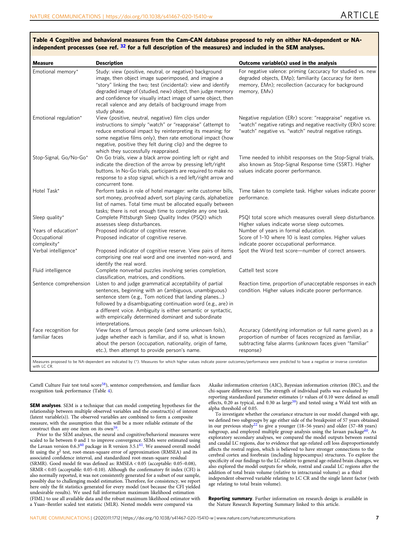| independent processes (see ref. $32$ for a full description of the measures) and included in the SEM analyses. |                                                                                                                                                                                                                                                                                                                                                                                            |                                                                                                                                                                                              |  |  |  |
|----------------------------------------------------------------------------------------------------------------|--------------------------------------------------------------------------------------------------------------------------------------------------------------------------------------------------------------------------------------------------------------------------------------------------------------------------------------------------------------------------------------------|----------------------------------------------------------------------------------------------------------------------------------------------------------------------------------------------|--|--|--|
| Measure                                                                                                        | <b>Description</b>                                                                                                                                                                                                                                                                                                                                                                         | Outcome variable(s) used in the analysis                                                                                                                                                     |  |  |  |
| Emotional memory*                                                                                              | Study: view (positive, neutral, or negative) background<br>image, then object image superimposed, and imagine a<br>"story" linking the two; test (incidental): view and identify<br>degraded image of (studied, new) object, then judge memory<br>and confidence for visually intact image of same object, then<br>recall valence and any details of background image from<br>study phase. | For negative valence: priming (accuracy for studied vs. new<br>degraded objects, EMp); familiarity (accuracy for item<br>memory, EMn); recollection (accuracy for background<br>memory, EMv) |  |  |  |
| Emotional regulation*                                                                                          | View (positive, neutral, negative) film clips under<br>instructions to simply "watch" or "reappraise" (attempt to                                                                                                                                                                                                                                                                          | Negative regulation (ERr) score: "reappraise" negative vs.<br>"watch" negative ratings and negative reactivity (ERn) score:                                                                  |  |  |  |

reduce emotional impact by reinterpreting its meaning; for some negative films only), then rate emotional impact (how negative, positive they felt during clip) and the degree to

indicate the direction of the arrow by pressing left/right

sort money, proofread advert, sort playing cards, alphabetize list of names. Total time must be allocated equally between tasks; there is not enough time to complete any one task.

Proposed indicator of cognitive reserve. View pairs of items comprising one real word and one invented non-word, and

sentences, beginning with an (ambiguous, unambiguous) sentence stem (e.g., Tom noticed that landing planes…) followed by a disambiguating continuation word (e.g., are) in a different voice. Ambiguity is either semantic or syntactic, with empirically determined dominant and subordinate

View faces of famous people (and some unknown foils), judge whether each is familiar, and if so, what is known about the person (occupation, nationality, origin of fame,

etc.), then attempt to provide person's name.

which they successfully reappraised.

Stop-Signal, Go/No-Go\* On Go trials, view a black arrow pointing left or right and

Hotel Task\* Perform tasks in role of hotel manager: write customer bills,

Sleep quality\* Complete Pittsburgh Sleep Quality Index (PSQI) which assesses sleep disturbances.

identify the real word.

Fluid intelligence Complete nonverbal puzzles involving series completion, classification, matrices, and conditions.

Sentence comprehension Listen to and judge grammatical acceptability of partial

concurrent tone.

**Occupational** complexity\*<br>Verbal intelligence\*

Face recognition for familiar faces

#### <span id="page-6-0"></span>Table 4 Cognitive and behavioral measures from the Cam-CAN database proposed to rely on either NA-dependent or NA-independent processes (see ref. <sup>[32](#page-7-0)</sup> for a full description of the measures) and included in the SEM analyses.

buttons. In No-Go trials, participants are required to make no response to a stop signal, which is a red left/right arrow and Time needed to inhibit responses on the Stop-Signal trials, also known as Stop-Signal Response time (SSRT). Higher values indicate poorer performance.

"watch" negative vs. "watch" neutral negative ratings.

Time taken to complete task. Higher values indicate poorer performance.

PSQI total score which measures overall sleep disturbance. Higher values indicate worse sleep outcomes. Years of education\* Proposed indicator of cognitive reserve. Number of years in formal education. Proposed indicator of cognitive reserve. Score of 1-10 where 10 is least complex. Higher values indicate poorer occupational performance.

Spot the Word test score—number of correct answers.

#### Cattell test score

Reaction time, proportion of'unacceptable responses in each condition. Higher values indicate poorer performance.

Accuracy (identifying information or full name given) as a proportion of number of faces recognized as familiar, subtracting false alarms (unknown faces given "familiar" response)

Measures proposed to be NA-dependent are indicated by (\*). Measures for which higher values indicate poorer outcomes/performance were predicted to have a negative or inverse correlation with LC CR

Cattell Culture Fair test total  $score<sup>58</sup>$ , sentence comprehension, and familiar faces recognition task performance (Table 4).

interpretations.

SEM analyses. SEM is a technique that can model competing hypotheses for the relationship between multiple observed variables and the construct(s) of interest (latent variable(s)). The observed variables are combined to form a composite measure, with the assumption that this will be a more reliable estimate of the construct than any one item on its own<sup>59</sup>

Prior to the SEM analyses, the neural and cognitive/behavioral measures were scaled to lie between 0 and 1 to improve convergence. SEMs were estimated using the Lavaan version 0.6.3[60](#page-8-0) package in R version 3.5.1[61](#page-8-0). We assessed overall model fit using the  $\chi^2$  test, root-mean-square error of approximation (RMSEA) and its associated confidence interval, and standardized root-mean-square residual (SRMR). Good model fit was defined as: RMSEA < 0.05 (acceptable: 0.05–0.08), SRMR < 0.05 (acceptable: 0.05–0.10). Although the confirmatory fit index (CFI) is also normally reported, it was not consistently generated for a subset of our sample, possibly due to challenging model estimation. Therefore, for consistency, we report here only the fit statistics generated for every model (not because the CFI yielded undesirable results). We used full information maximum likelihood estimation (FIML) to use all available data and the robust maximum likelihood estimator with a Yuan–Bentler scaled test statistic (MLR). Nested models were compared via

Akaike information criterion (AIC), Bayesian information criterion (BIC), and the chi-square difference test. The strength of individual paths was evaluated by reporting standardized parameter estimates (r values of 0.10 were defined as small effects,  $0.20$  as typical, and  $0.30$  as large<sup>39</sup>) and tested using a Wald test with an alpha threshold of 0.05.

To investigate whether the covariance structure in our model changed with age, we defined two subgroups by age either side of the breakpoint of 57 years obtained in our previous study<sup>[22](#page-7-0)</sup> to give a younger (18–56 years) and older (57–88 years) subgroup, and employed multiple group analysis using the lavaan package<sup>[60](#page-8-0)</sup>. As exploratory secondary analyses, we compared the model outputs between rostral and caudal LC regions, due to evidence that age-related cell loss disproportionately affects the rostral region, which is believed to have stronger connections to the cerebral cortex and forebrain (including hippocampus) structures. To explore the specificity of our findings to the LC relative to general age-related brain changes, we also explored the model outputs for whole, rostral and caudal LC regions after the addition of total brain volume (relative to intracranial volume) as a third independent observed variable relating to LC CR and the single latent factor (with age relating to total brain volume).

Reporting summary. Further information on research design is available in the Nature Research Reporting Summary linked to this article.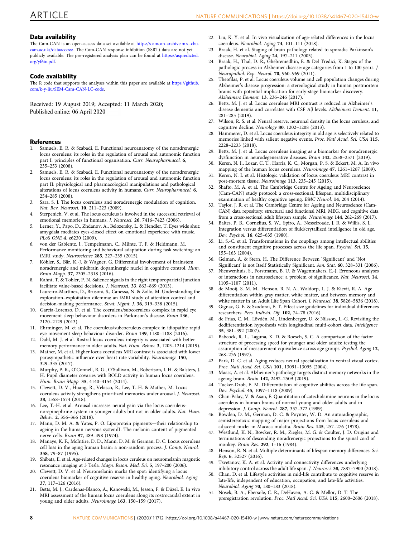#### <span id="page-7-0"></span>Data availability

The Cam-CAN is an open-access data set available at [https://camcan-archive.mrc-cbu.](https://camcan-archive.mrc-cbu.cam.ac.uk//dataaccess/) [cam.ac.uk//dataaccess/.](https://camcan-archive.mrc-cbu.cam.ac.uk//dataaccess/) The Cam-CAN response inhibition (SSRT) data are not yet publicly available. The pre-registered analysis plan can be found at [https://aspredicted.](https://aspredicted.org/yf6in.pdf) [org/yf6in.pdf](https://aspredicted.org/yf6in.pdf).

#### Code availability

The R code that supports the analyses within this paper are available at [https://github.](https://github.com/k-y-liu/SEM-CamCAN-LC-code) [com/k-y-liu/SEM-Cam-CAN-LC-code](https://github.com/k-y-liu/SEM-CamCAN-LC-code).

Received: 19 August 2019; Accepted: 11 March 2020; Published online: 06 April 2020

#### References

- Samuels, E. R. & Szabadi, E. Functional neuroanatomy of the noradrenergic locus coeruleus: its roles in the regulation of arousal and autonomic function part I: principles of functional organisation. Curr. Neuropharmacol. 6, 235–253 (2008).
- 2. Samuels, E. R. & Szabadi, E. Functional neuroanatomy of the noradrenergic locus coeruleus: its roles in the regulation of arousal and autonomic function part II: physiological and pharmacological manipulations and pathological alterations of locus coeruleus activity in humans. Curr. Neuropharmacol. 6, 254–285 (2008).
- 3. Sara, S. J. The locus coeruleus and noradrenergic modulation of cognition. Nat. Rev. Neurosci. 10, 211–223 (2009).
- 4. Sterpenich, V. et al. The locus ceruleus is involved in the successful retrieval of emotional memories in humans. J. Neurosci. 26, 7416–7423 (2006).
- 5. Lerner, Y., Papo, D., Zhdanov, A., Belozersky, L. & Hendler, T. Eyes wide shut: amygdala mediates eyes-closed effect on emotional experience with music. PLoS ONE 4, e6230 (2009).
- 6. von der Gablentz, J., Tempelmann, C., Münte, T. F. & Heldmann, M. Performance monitoring and behavioral adaptation during task switching: an fMRI study. Neuroscience 285, 227–235 (2015).
- 7. Köhler, S., Bär, K.-J. & Wagner, G. Differential involvement of brainstem noradrenergic and midbrain dopaminergic nuclei in cognitive control. Hum. Brain Mapp. 37, 2305–2318 (2016).
- 8. Kahnt, T. & Tobler, P. N. Salience signals in the right temporoparietal junction facilitate value-based decisions. J. Neurosci. 33, 863–869 (2013).
- 9. Laureiro-Martínez, D., Brusoni, S., Canessa, N. & Zollo, M. Understanding the exploration–exploitation dilemma: an fMRI study of attention control and decision-making performance. Strat. Mgmt. J. 36, 319–338 (2015).
- 10. García-Lorenzo, D. et al. The coeruleus/subcoeruleus complex in rapid eye movement sleep behaviour disorders in Parkinson's disease. Brain 136, 2120–2129 (2013).
- 11. Ehrminger, M. et al. The coeruleus/subcoeruleus complex in idiopathic rapid eye movement sleep behaviour disorder. Brain 139, 1180–1188 (2016).
- Dahl, M. J. et al. Rostral locus coeruleus integrity is associated with better memory performance in older adults. Nat. Hum. Behav. 3, 1203–1214 (2019).
- 13. Mather, M. et al. Higher locus coeruleus MRI contrast is associated with lower parasympathetic influence over heart rate variability. Neuroimage 150, 329–335 (2017).
- 14. Murphy, P. R., O'Connell, R. G., O'Sullivan, M., Robertson, I. H. & Balsters, J. H. Pupil diameter covaries with BOLD activity in human locus coeruleus. Hum. Brain Mapp. 35, 4140–4154 (2014).
- 15. Clewett, D. V., Huang, R., Velasco, R., Lee, T.-H. & Mather, M. Locus coeruleus activity strengthens prioritized memories under arousal. J. Neurosci. 38, 1558–1574 (2018).
- 16. Lee, T.-H. et al. Arousal increases neural gain via the locus coeruleusnorepinephrine system in younger adults but not in older adults. Nat. Hum. Behav. 2, 356–366 (2018).
- 17. Mann, D. M. A. & Yates, P. O. Lipoprotein pigments—their relationship to ageing in the human nervous systemII. The melanin content of pigmented nerve cells. Brain 97, 489–498 (1974).
- 18. Manaye, K. F., McIntire, D. D., Mann, D. M. & German, D. C. Locus coeruleus cell loss in the aging human brain: a non-random process. J. Comp. Neurol. 358, 79–87 (1995).
- 19. Shibata, E. et al. Age-related changes in locus ceruleus on neuromelanin magnetic resonance imaging at 3 Tesla. Magn. Reson. Med. Sci. 5, 197–200 (2006).
- 20. Clewett, D. V. et al. Neuromelanin marks the spot: identifying a locus coeruleus biomarker of cognitive reserve in healthy aging. Neurobiol. Aging 37, 117–126 (2016).
- 21. Betts, M. J., Cardenas-Blanco, A., Kanowski, M., Jessen, F. & Düzel, E. In vivo MRI assessment of the human locus coeruleus along its rostrocaudal extent in young and older adults. Neuroimage 163, 150–159 (2017).
- 22. Liu, K. Y. et al. In vivo visualization of age-related differences in the locus coeruleus. Neurobiol. Aging 74, 101–111 (2018).
- 23. Braak, H. et al. Staging of brain pathology related to sporadic Parkinson's disease. Neurobiol. Aging 24, 197–211 (2003).
- 24. Braak, H., Thal, D. R., Ghebremedhin, E. & Del Tredici, K. Stages of the pathologic process in Alzheimer disease: age categories from 1 to 100 years. J. Neuropathol. Exp. Neurol. 70, 960–969 (2011).
- 25. Theofilas, P. et al. Locus coeruleus volume and cell population changes during Alzheimer's disease progression: a stereological study in human postmortem brains with potential implication for early-stage biomarker discovery. Alzheimers Dement. 13, 236–246 (2017).
- 26. Betts, M. J. et al. Locus coeruleus MRI contrast is reduced in Alzheimer's disease dementia and correlates with CSF Aβ levels. Alzheimers Dement. 11, 281–285 (2019).
- 27. Wilson, R. S. et al. Neural reserve, neuronal density in the locus ceruleus, and cognitive decline. Neurology 80, 1202–1208 (2013).
- 28. Hämmerer, D. et al. Locus coeruleus integrity in old age is selectively related to memories linked with salient negative events. Proc. Natl Acad. Sci. USA 115, 2228–2233 (2018).
- 29. Betts, M. J. et al. Locus coeruleus imaging as a biomarker for noradrenergic dysfunction in neurodegenerative diseases. Brain 142, 2558–2571 (2019).
- 30. Keren, N. I., Lozar, C. T., Harris, K. C., Morgan, P. S. & Eckert, M. A. In vivo mapping of the human locus coeruleus. Neuroimage 47, 1261–1267 (2009).
- 31. Keren, N. I. et al. Histologic validation of locus coeruleus MRI contrast in post-mortem tissue. Neuroimage 113, 235–245 (2015).
- 32. Shafto, M. A. et al. The Cambridge Centre for Ageing and Neuroscience (Cam-CAN) study protocol: a cross-sectional, lifespan, multidisciplinary examination of healthy cognitive ageing. BMC Neurol. 14, 204 (2014).
- 33. Taylor, J. R. et al. The Cambridge Centre for Ageing and Neuroscience (Cam-CAN) data repository: structural and functional MRI, MEG, and cognitive data from a cross-sectional adult lifespan sample. Neuroimage 144, 262–269 (2017).
- 34. Baltes, P. B., Cornelius, S. W., Spiro, A., Nesselroade, J. R. & Willis, S. L. Integration versus differentiation of fluid/crytallized intelligence in old age. Dev. Psychol. 16, 625–635 (1980).
- 35. Li, S.-C. et al. Transformations in the couplings among intellectual abilities and constituent cognitive processes across the life span. Psychol. Sci. 15, 155–163 (2004).
- 36. Gelman, A. & Stern, H. The Difference Between 'Significant' and 'Not Significant' is not Itself Statistically Significant. Am. Stat. 60, 328–331 (2006).
- 37. Nieuwenhuis, S., Forstmann, B. U. & Wagenmakers, E.-J. Erroneous analyses of interactions in neuroscience: a problem of significance. Nat. Neurosci. 14, 1105–1107 (2011).
- 38. de Mooij, S. M. M., Henson, R. N. A., Waldorp, L. J. & Kievit, R. A. Age differentiation within gray matter, white matter, and between memory and white matter in an Adult Life Span Cohort. J. Neurosci. 38, 5826–5836 (2018).
- 39. Gignac, G. E. & Szodorai, E. T. Effect size guidelines for individual differences researchers. Pers. Individ. Dif. 102, 74–78 (2016).
- 40. de Frias, C. M., Lövdén, M., Lindenberger, U. & Nilsson, L.-G. Revisiting the dedifferentiation hypothesis with longitudinal multi-cohort data. Intelligence 35, 381–392 (2007).
- 41. Babcock, R. L., Laguna, K. D. & Roesch, S. C. A comparison of the factor structure of processing speed for younger and older adults: testing the assumption of measurement equivalence across age groups. Psychol. Aging 12, 268–276 (1997).
- Park, D. C. et al. Aging reduces neural specialization in ventral visual cortex. Proc. Natl Acad. Sci. USA 101, 13091–13095 (2004).
- 43. Maass, A. et al. Alzheimer's pathology targets distinct memory networks in the ageing brain. Brain 142, 2492-2509 (2019).
- Tucker-Drob, E. M. Differentiation of cognitive abilities across the life span. Dev. Psychol. 45, 1097–1118 (2009).
- 45. Chan-Palay, V. & Asan, E. Quantitation of catecholamine neurons in the locus coeruleus in human brains of normal young and older adults and in depression. J. Comp. Neurol. 287, 357–372 (1989).
- 46. Bowden, D. M., German, D. C. & Poynter, W. D. An autoradiographic, semistereotaxic mapping of major projections from locus coeruleus and adjacent nuclei in Macaca mulatta. Brain Res. 145, 257–276 (1978).
- Westlund, K. N., Bowker, R. M., Ziegler, M. G. & Coulter, J. D. Origins and terminations of descending noradrenergic projections to the spinal cord of monkey. Brain Res. 292, 1–16 (1984).
- 48. Henson, R. N. et al. Multiple determinants of lifespan memory differences. Sci. Rep. 6, 32527 (2016).
- 49. Tsvetanov, K. A. et al. Activity and connectivity differences underlying inhibitory control across the adult life span. J. Neurosci. 38, 7887–7900 (2018).
- 50. Chan, D. et al. Lifestyle activities in mid-life contribute to cognitive reserve in late-life, independent of education, occupation, and late-life activities. Neurobiol. Aging 70, 180–183 (2018).
- 51. Nosek, B. A., Ebersole, C. R., DeHaven, A. C. & Mellor, D. T. The preregistration revolution. Proc. Natl Acad. Sci. USA 115, 2600–2606 (2018).